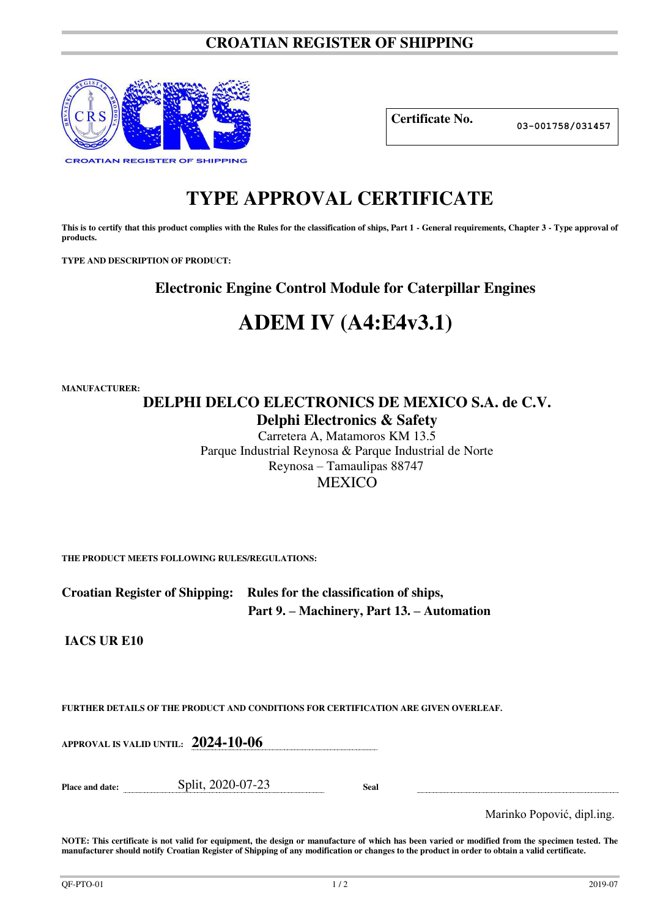## **CROATIAN REGISTER OF SHIPPING**



**Certificate No. 03-001758/031457**

## **TYPE APPROVAL CERTIFICATE**

This is to certify that this product complies with the Rules for the classification of ships, Part 1 - General requirements, Chapter 3 - Type approval of **products.** 

**TYPE AND DESCRIPTION OF PRODUCT:** 

**Electronic Engine Control Module for Caterpillar Engines** 

# **ADEM IV (A4:E4v3.1)**

**MANUFACTURER:**

## **DELPHI DELCO ELECTRONICS DE MEXICO S.A. de C.V. Delphi Electronics & Safety**

Carretera A, Matamoros KM 13.5 Parque Industrial Reynosa & Parque Industrial de Norte Reynosa – Tamaulipas 88747 MEXICO

**THE PRODUCT MEETS FOLLOWING RULES/REGULATIONS:**

**Croatian Register of Shipping: Rules for the classification of ships, Part 9. – Machinery, Part 13. – Automation** 

**IACS UR E10** 

**FURTHER DETAILS OF THE PRODUCT AND CONDITIONS FOR CERTIFICATION ARE GIVEN OVERLEAF.**

**APPROVAL IS VALID UNTIL: 2024-10-06**

**Place and date:** Split, 2020-07-23 **Seal** 

Marinko Popović, dipl.ing.

**NOTE: This certificate is not valid for equipment, the design or manufacture of which has been varied or modified from the specimen tested. The manufacturer should notify Croatian Register of Shipping of any modification or changes to the product in order to obtain a valid certificate.**